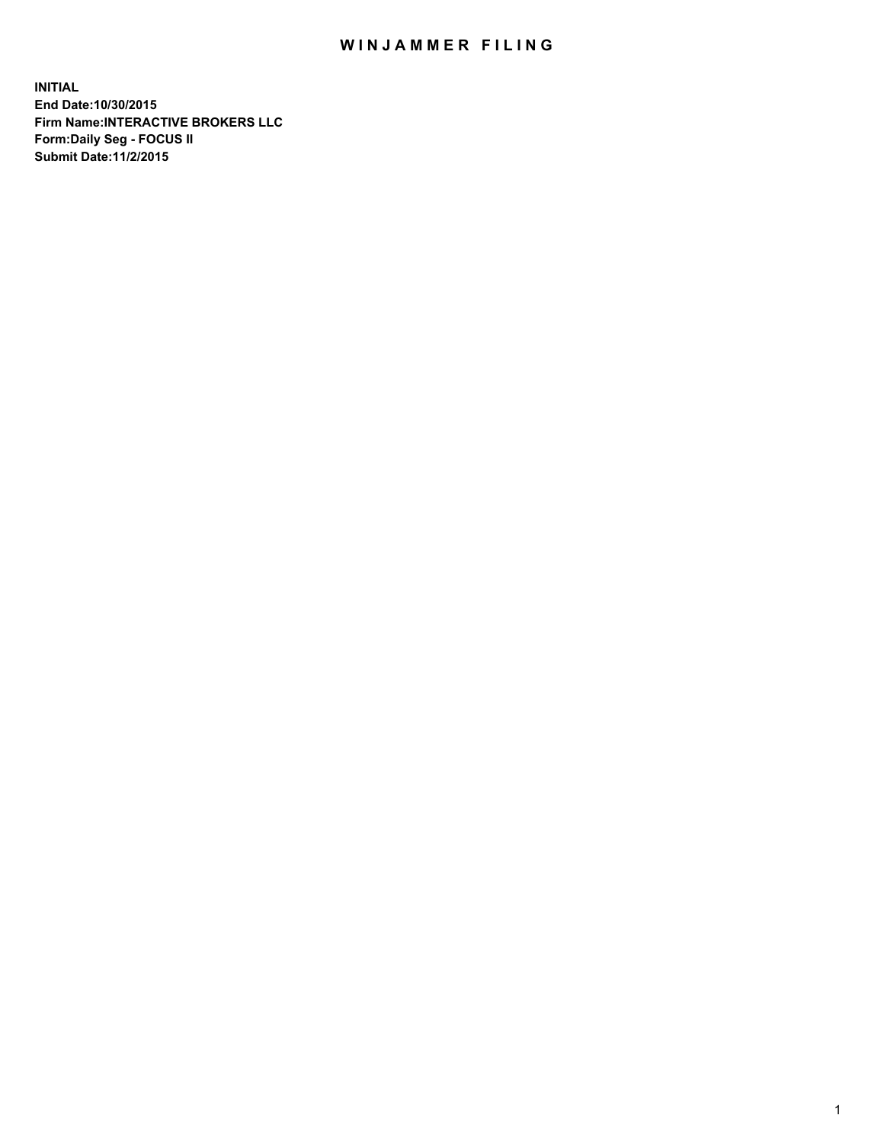## WIN JAMMER FILING

**INITIAL End Date:10/30/2015 Firm Name:INTERACTIVE BROKERS LLC Form:Daily Seg - FOCUS II Submit Date:11/2/2015**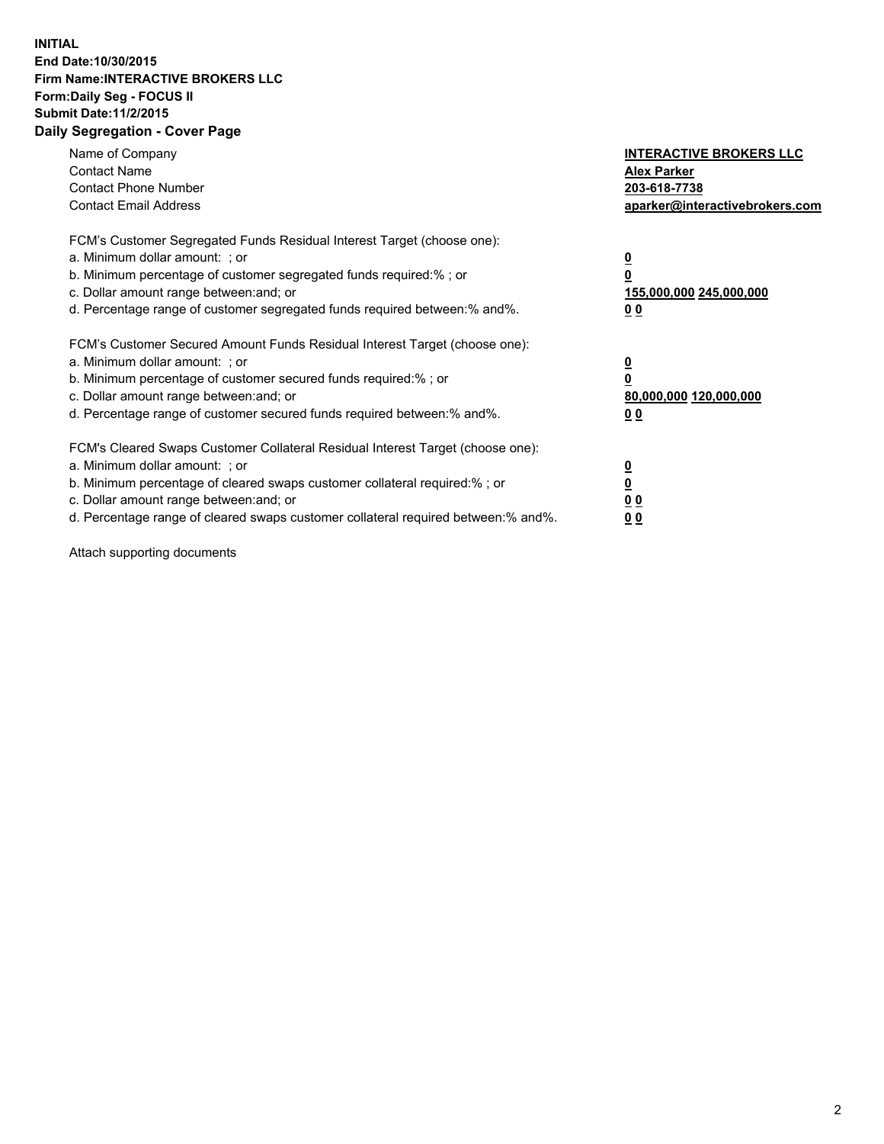## **INITIAL End Date:10/30/2015 Firm Name:INTERACTIVE BROKERS LLC Form:Daily Seg - FOCUS II Submit Date:11/2/2015 Daily Segregation - Cover Page**

| Name of Company<br><b>Contact Name</b><br><b>Contact Phone Number</b><br><b>Contact Email Address</b>                                                                                                                                                                                                                          | <b>INTERACTIVE BROKERS LLC</b><br><b>Alex Parker</b><br>203-618-7738<br>aparker@interactivebrokers.com |
|--------------------------------------------------------------------------------------------------------------------------------------------------------------------------------------------------------------------------------------------------------------------------------------------------------------------------------|--------------------------------------------------------------------------------------------------------|
| FCM's Customer Segregated Funds Residual Interest Target (choose one):<br>a. Minimum dollar amount: ; or<br>b. Minimum percentage of customer segregated funds required:% ; or<br>c. Dollar amount range between: and; or<br>d. Percentage range of customer segregated funds required between:% and%.                         | <u>0</u><br><u>155,000,000 245,000,000</u><br>00                                                       |
| FCM's Customer Secured Amount Funds Residual Interest Target (choose one):<br>a. Minimum dollar amount: ; or<br>b. Minimum percentage of customer secured funds required:%; or<br>c. Dollar amount range between: and; or<br>d. Percentage range of customer secured funds required between: % and %.                          | <u>0</u><br>80,000,000 120,000,000<br>0 <sub>0</sub>                                                   |
| FCM's Cleared Swaps Customer Collateral Residual Interest Target (choose one):<br>a. Minimum dollar amount: ; or<br>b. Minimum percentage of cleared swaps customer collateral required:% ; or<br>c. Dollar amount range between: and; or<br>d. Percentage range of cleared swaps customer collateral required between:% and%. | <u>0</u><br>0 <sub>0</sub><br><u>0 0</u>                                                               |

Attach supporting documents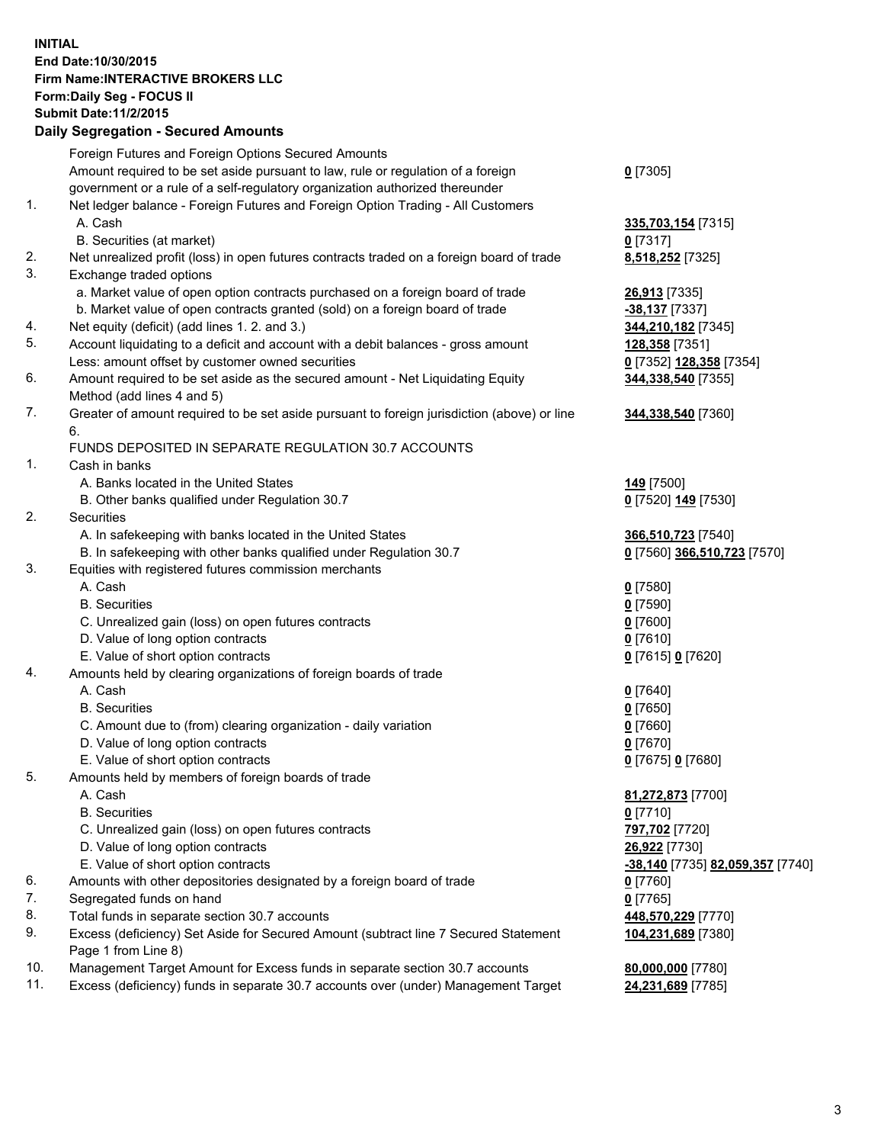## **INITIAL End Date:10/30/2015 Firm Name:INTERACTIVE BROKERS LLC Form:Daily Seg - FOCUS II Submit Date:11/2/2015 Daily Segregation - Secured Amounts**

|     | Daily Ocglegation - Occuled Amounts                                                                        |                                  |
|-----|------------------------------------------------------------------------------------------------------------|----------------------------------|
|     | Foreign Futures and Foreign Options Secured Amounts                                                        |                                  |
|     | Amount required to be set aside pursuant to law, rule or regulation of a foreign                           | $0$ [7305]                       |
|     | government or a rule of a self-regulatory organization authorized thereunder                               |                                  |
| 1.  | Net ledger balance - Foreign Futures and Foreign Option Trading - All Customers                            |                                  |
|     | A. Cash                                                                                                    | 335,703,154 [7315]               |
|     | B. Securities (at market)                                                                                  | $0$ [7317]                       |
| 2.  | Net unrealized profit (loss) in open futures contracts traded on a foreign board of trade                  | 8,518,252 [7325]                 |
| 3.  | Exchange traded options                                                                                    |                                  |
|     | a. Market value of open option contracts purchased on a foreign board of trade                             | 26,913 [7335]                    |
|     | b. Market value of open contracts granted (sold) on a foreign board of trade                               | $-38,137$ [7337]                 |
| 4.  | Net equity (deficit) (add lines 1. 2. and 3.)                                                              | 344,210,182 [7345]               |
| 5.  | Account liquidating to a deficit and account with a debit balances - gross amount                          | 128,358 [7351]                   |
|     | Less: amount offset by customer owned securities                                                           | 0 [7352] 128,358 [7354]          |
| 6.  | Amount required to be set aside as the secured amount - Net Liquidating Equity                             | 344,338,540 [7355]               |
|     | Method (add lines 4 and 5)                                                                                 |                                  |
| 7.  | Greater of amount required to be set aside pursuant to foreign jurisdiction (above) or line                | 344,338,540 [7360]               |
|     | 6.                                                                                                         |                                  |
|     | FUNDS DEPOSITED IN SEPARATE REGULATION 30.7 ACCOUNTS                                                       |                                  |
| 1.  | Cash in banks                                                                                              |                                  |
|     | A. Banks located in the United States                                                                      | <b>149</b> [7500]                |
|     | B. Other banks qualified under Regulation 30.7                                                             | 0 [7520] 149 [7530]              |
| 2.  | Securities                                                                                                 |                                  |
|     | A. In safekeeping with banks located in the United States                                                  | 366,510,723 [7540]               |
|     | B. In safekeeping with other banks qualified under Regulation 30.7                                         | 0 [7560] 366,510,723 [7570]      |
| 3.  | Equities with registered futures commission merchants                                                      |                                  |
|     | A. Cash                                                                                                    | $0$ [7580]                       |
|     | <b>B.</b> Securities                                                                                       | $0$ [7590]                       |
|     | C. Unrealized gain (loss) on open futures contracts                                                        | $0$ [7600]                       |
|     | D. Value of long option contracts                                                                          | $0$ [7610]                       |
|     | E. Value of short option contracts                                                                         | 0 [7615] 0 [7620]                |
| 4.  | Amounts held by clearing organizations of foreign boards of trade                                          |                                  |
|     | A. Cash                                                                                                    | $0$ [7640]                       |
|     | <b>B.</b> Securities                                                                                       | $0$ [7650]                       |
|     | C. Amount due to (from) clearing organization - daily variation                                            | $0$ [7660]                       |
|     | D. Value of long option contracts                                                                          | $0$ [7670]                       |
|     | E. Value of short option contracts                                                                         | 0 [7675] 0 [7680]                |
| 5.  | Amounts held by members of foreign boards of trade                                                         |                                  |
|     | A. Cash                                                                                                    | 81,272,873 [7700]                |
|     | <b>B.</b> Securities                                                                                       | $0$ [7710]                       |
|     | C. Unrealized gain (loss) on open futures contracts                                                        | 797,702 [7720]                   |
|     | D. Value of long option contracts                                                                          | 26,922 [7730]                    |
|     | E. Value of short option contracts                                                                         | -38,140 [7735] 82,059,357 [7740] |
| 6.  | Amounts with other depositories designated by a foreign board of trade                                     | 0 [7760]                         |
| 7.  | Segregated funds on hand                                                                                   | $0$ [7765]                       |
| 8.  | Total funds in separate section 30.7 accounts                                                              | 448,570,229 [7770]               |
| 9.  | Excess (deficiency) Set Aside for Secured Amount (subtract line 7 Secured Statement<br>Page 1 from Line 8) | 104,231,689 [7380]               |
| 10. | Management Target Amount for Excess funds in separate section 30.7 accounts                                | 80,000,000 [7780]                |
| 11. | Excess (deficiency) funds in separate 30.7 accounts over (under) Management Target                         | 24,231,689 [7785]                |
|     |                                                                                                            |                                  |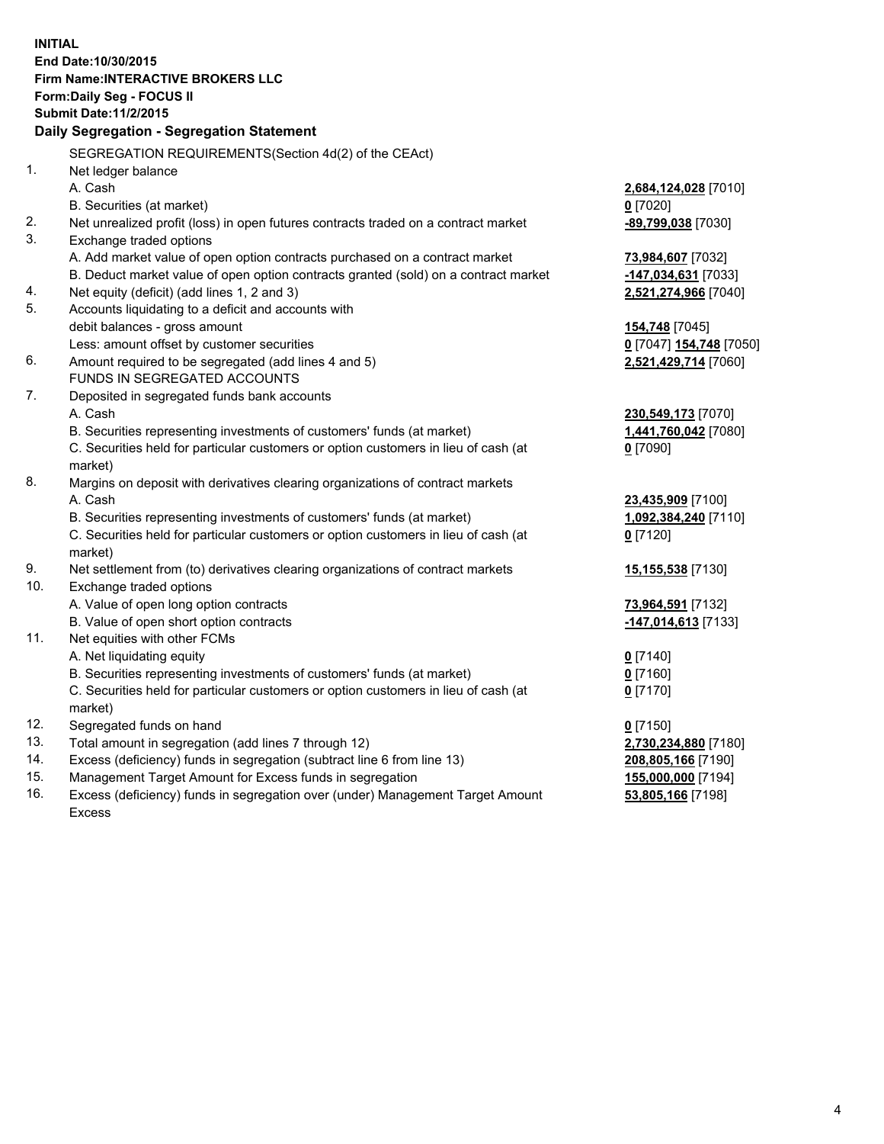**INITIAL End Date:10/30/2015 Firm Name:INTERACTIVE BROKERS LLC Form:Daily Seg - FOCUS II Submit Date:11/2/2015 Daily Segregation - Segregation Statement** SEGREGATION REQUIREMENTS(Section 4d(2) of the CEAct) 1. Net ledger balance A. Cash **2,684,124,028** [7010] B. Securities (at market) **0** [7020] 2. Net unrealized profit (loss) in open futures contracts traded on a contract market **-89,799,038** [7030] 3. Exchange traded options A. Add market value of open option contracts purchased on a contract market **73,984,607** [7032] B. Deduct market value of open option contracts granted (sold) on a contract market **-147,034,631** [7033] 4. Net equity (deficit) (add lines 1, 2 and 3) **2,521,274,966** [7040] 5. Accounts liquidating to a deficit and accounts with debit balances - gross amount **154,748** [7045] Less: amount offset by customer securities **0** [7047] **154,748** [7050] 6. Amount required to be segregated (add lines 4 and 5) **2,521,429,714** [7060] FUNDS IN SEGREGATED ACCOUNTS 7. Deposited in segregated funds bank accounts A. Cash **230,549,173** [7070] B. Securities representing investments of customers' funds (at market) **1,441,760,042** [7080] C. Securities held for particular customers or option customers in lieu of cash (at market) **0** [7090] 8. Margins on deposit with derivatives clearing organizations of contract markets A. Cash **23,435,909** [7100] B. Securities representing investments of customers' funds (at market) **1,092,384,240** [7110] C. Securities held for particular customers or option customers in lieu of cash (at market) **0** [7120] 9. Net settlement from (to) derivatives clearing organizations of contract markets **15,155,538** [7130] 10. Exchange traded options A. Value of open long option contracts **73,964,591** [7132] B. Value of open short option contracts **-147,014,613** [7133] 11. Net equities with other FCMs A. Net liquidating equity **0** [7140] B. Securities representing investments of customers' funds (at market) **0** [7160] C. Securities held for particular customers or option customers in lieu of cash (at market) **0** [7170] 12. Segregated funds on hand **0** [7150] 13. Total amount in segregation (add lines 7 through 12) **2,730,234,880** [7180] 14. Excess (deficiency) funds in segregation (subtract line 6 from line 13) **208,805,166** [7190] 15. Management Target Amount for Excess funds in segregation **155,000,000** [7194]

16. Excess (deficiency) funds in segregation over (under) Management Target Amount Excess

**53,805,166** [7198]